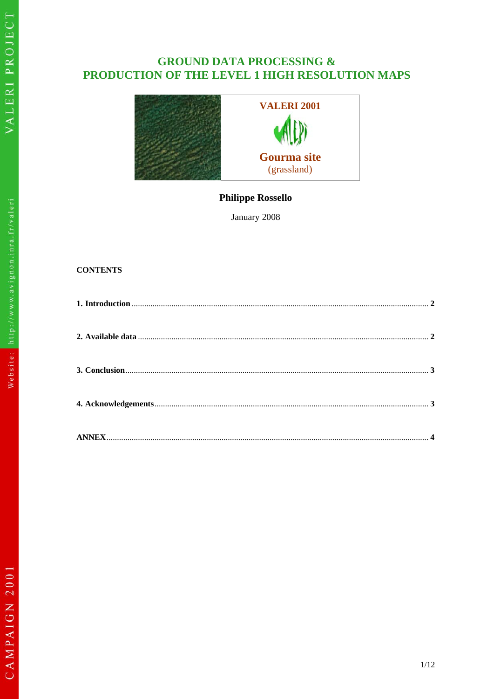# **GROUND DATA PROCESSING &** PRODUCTION OF THE LEVEL 1 HIGH RESOLUTION MAPS



**Philippe Rossello** 

January 2008

## **CONTENTS**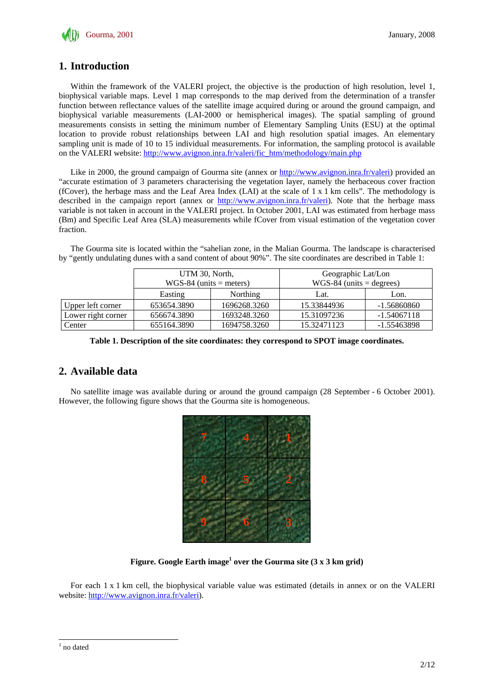

## **1. Introduction**

Within the framework of the VALERI project, the objective is the production of high resolution, level 1, biophysical variable maps. Level 1 map corresponds to the map derived from the determination of a transfer function between reflectance values of the satellite image acquired during or around the ground campaign, and biophysical variable measurements (LAI-2000 or hemispherical images). The spatial sampling of ground measurements consists in setting the minimum number of Elementary Sampling Units (ESU) at the optimal location to provide robust relationships between LAI and high resolution spatial images. An elementary sampling unit is made of 10 to 15 individual measurements. For information, the sampling protocol is available on the VALERI website: http://www.avignon.inra.fr/valeri/fic\_htm/methodology/main.php

Like in 2000, the ground campaign of Gourma site (annex or http://www.avignon.inra.fr/valeri) provided an "accurate estimation of 3 parameters characterising the vegetation layer, namely the herbaceous cover fraction (fCover), the herbage mass and the Leaf Area Index (LAI) at the scale of  $1 \times 1$  km cells". The methodology is described in the campaign report (annex or http://www.avignon.inra.fr/valeri). Note that the herbage mass variable is not taken in account in the VALERI project. In October 2001, LAI was estimated from herbage mass (Bm) and Specific Leaf Area (SLA) measurements while fCover from visual estimation of the vegetation cover fraction.

The Gourma site is located within the "sahelian zone, in the Malian Gourma. The landscape is characterised by "gently undulating dunes with a sand content of about 90%". The site coordinates are described in Table 1:

|                    | UTM 30, North,<br>$WGS-84$ (units = meters) |                 | Geographic Lat/Lon<br>$WGS-84$ (units = degrees) |               |
|--------------------|---------------------------------------------|-----------------|--------------------------------------------------|---------------|
|                    | Easting                                     | <b>Northing</b> | Lat.                                             | Lon.          |
| Upper left corner  | 653654.3890                                 | 1696268.3260    | 15.33844936                                      | -1.56860860   |
| Lower right corner | 656674.3890                                 | 1693248.3260    | 15.31097236                                      | $-1.54067118$ |
| Center             | 655164.3890                                 | 1694758.3260    | 15.32471123                                      | -1.55463898   |

**Table 1. Description of the site coordinates: they correspond to SPOT image coordinates.** 

## **2. Available data**

No satellite image was available during or around the ground campaign (28 September - 6 October 2001). However, the following figure shows that the Gourma site is homogeneous.



Figure. Google Earth image<sup>1</sup> over the Gourma site (3 x 3 km grid)

For each 1 x 1 km cell, the biophysical variable value was estimated (details in annex or on the VALERI website: http://www.avignon.inra.fr/valeri).

 $\frac{1}{1}$  no dated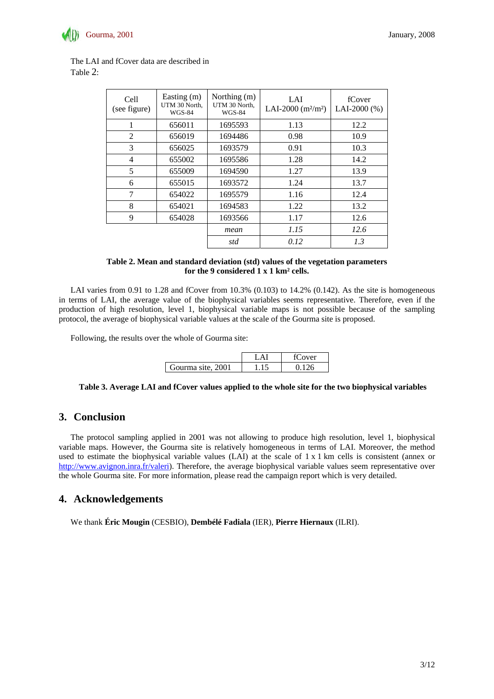

| Cell<br>(see figure) | Easting (m)<br>UTM 30 North,<br><b>WGS-84</b> | Northing (m)<br>UTM 30 North,<br><b>WGS-84</b> | LAI<br>LAI-2000 $(m^2/m^2)$ | fCover<br>LAI-2000 $(%$ |
|----------------------|-----------------------------------------------|------------------------------------------------|-----------------------------|-------------------------|
| 1                    | 656011                                        | 1695593                                        | 1.13                        | 12.2                    |
| 2                    | 656019                                        | 1694486                                        | 0.98                        | 10.9                    |
| 3                    | 656025                                        | 1693579                                        | 0.91                        | 10.3                    |
| 4                    | 655002                                        | 1695586                                        | 1.28                        | 14.2                    |
| 5                    | 655009                                        | 1694590                                        | 1.27                        | 13.9                    |
| 6                    | 655015                                        | 1693572                                        | 1.24                        | 13.7                    |
| 7                    | 654022                                        | 1695579                                        | 1.16                        | 12.4                    |
| 8                    | 654021                                        | 1694583                                        | 1.22                        | 13.2                    |
| 9                    | 654028                                        | 1693566                                        | 1.17                        | 12.6                    |
|                      |                                               | mean                                           | 1.15                        | 12.6                    |
|                      |                                               | std                                            | 0.12                        | 1.3                     |

The LAI and fCover data are described in Table 2:

#### **Table 2. Mean and standard deviation (std) values of the vegetation parameters for the 9 considered 1 x 1 km² cells.**

LAI varies from 0.91 to 1.28 and fCover from 10.3% (0.103) to 14.2% (0.142). As the site is homogeneous in terms of LAI, the average value of the biophysical variables seems representative. Therefore, even if the production of high resolution, level 1, biophysical variable maps is not possible because of the sampling protocol, the average of biophysical variable values at the scale of the Gourma site is proposed.

Following, the results over the whole of Gourma site:

|                   | ver |
|-------------------|-----|
| Gourma site, 2001 |     |

**Table 3. Average LAI and fCover values applied to the whole site for the two biophysical variables** 

#### **3. Conclusion**

The protocol sampling applied in 2001 was not allowing to produce high resolution, level 1, biophysical variable maps. However, the Gourma site is relatively homogeneous in terms of LAI. Moreover, the method used to estimate the biophysical variable values (LAI) at the scale of 1 x 1 km cells is consistent (annex or http://www.avignon.inra.fr/valeri). Therefore, the average biophysical variable values seem representative over the whole Gourma site. For more information, please read the campaign report which is very detailed.

#### **4. Acknowledgements**

We thank **Éric Mougin** (CESBIO), **Dembélé Fadiala** (IER), **Pierre Hiernaux** (ILRI).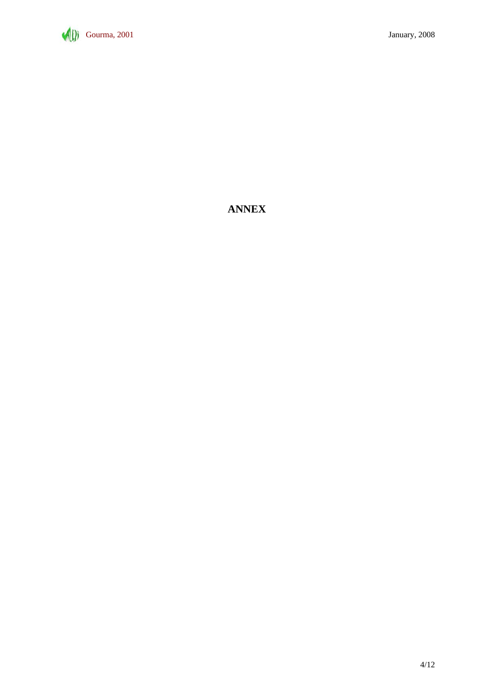

## **ANNEX**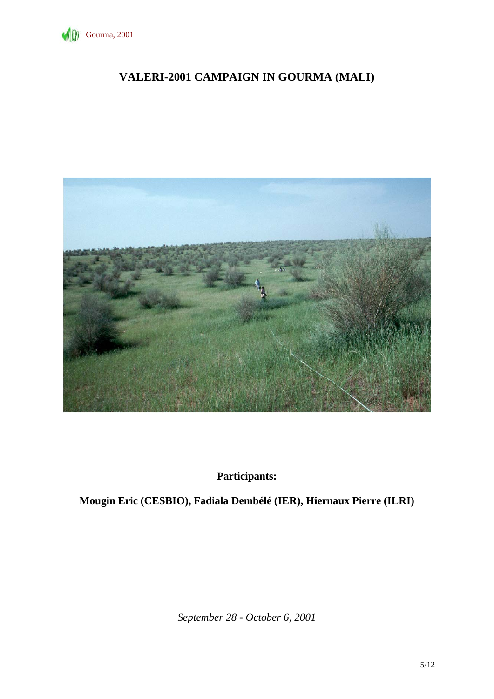

# **VALERI-2001 CAMPAIGN IN GOURMA (MALI)**



**Participants:** 

**Mougin Eric (CESBIO), Fadiala Dembélé (IER), Hiernaux Pierre (ILRI)** 

*September 28 - October 6, 2001*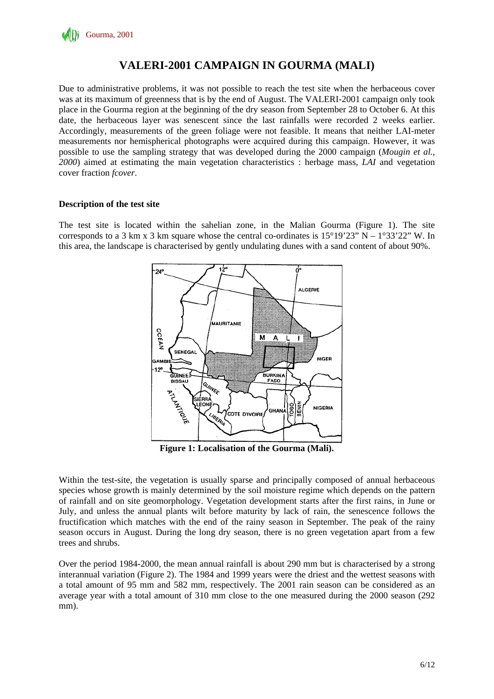

## **VALERI-2001 CAMPAIGN IN GOURMA (MALI)**

Due to administrative problems, it was not possible to reach the test site when the herbaceous cover was at its maximum of greenness that is by the end of August. The VALERI-2001 campaign only took place in the Gourma region at the beginning of the dry season from September 28 to October 6. At this date, the herbaceous layer was senescent since the last rainfalls were recorded 2 weeks earlier. Accordingly, measurements of the green foliage were not feasible. It means that neither LAI-meter measurements nor hemispherical photographs were acquired during this campaign. However, it was possible to use the sampling strategy that was developed during the 2000 campaign (*Mougin et al., 2000*) aimed at estimating the main vegetation characteristics : herbage mass, *LAI* and vegetation cover fraction *fcover*.

#### **Description of the test site**

The test site is located within the sahelian zone, in the Malian Gourma (Figure 1). The site corresponds to a 3 km x 3 km square whose the central co-ordinates is  $15^{\circ}19'23''$  N –  $1^{\circ}33'22''$  W. In this area, the landscape is characterised by gently undulating dunes with a sand content of about 90%.



**Figure 1: Localisation of the Gourma (Mali).** 

Within the test-site, the vegetation is usually sparse and principally composed of annual herbaceous species whose growth is mainly determined by the soil moisture regime which depends on the pattern of rainfall and on site geomorphology. Vegetation development starts after the first rains, in June or July, and unless the annual plants wilt before maturity by lack of rain, the senescence follows the fructification which matches with the end of the rainy season in September. The peak of the rainy season occurs in August. During the long dry season, there is no green vegetation apart from a few trees and shrubs.

Over the period 1984-2000, the mean annual rainfall is about 290 mm but is characterised by a strong interannual variation (Figure 2). The 1984 and 1999 years were the driest and the wettest seasons with a total amount of 95 mm and 582 mm, respectively. The 2001 rain season can be considered as an average year with a total amount of 310 mm close to the one measured during the 2000 season (292 mm).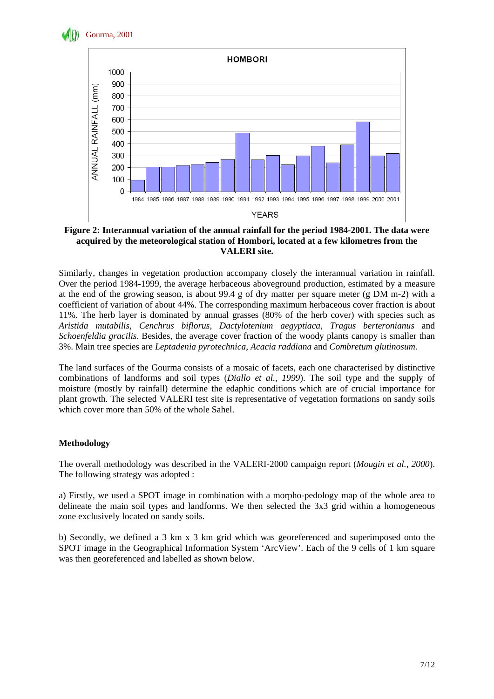



#### **Figure 2: Interannual variation of the annual rainfall for the period 1984-2001. The data were acquired by the meteorological station of Hombori, located at a few kilometres from the VALERI site.**

Similarly, changes in vegetation production accompany closely the interannual variation in rainfall. Over the period 1984-1999, the average herbaceous aboveground production, estimated by a measure at the end of the growing season, is about 99.4 g of dry matter per square meter (g DM m-2) with a coefficient of variation of about 44%. The corresponding maximum herbaceous cover fraction is about 11%. The herb layer is dominated by annual grasses (80% of the herb cover) with species such as *Aristida mutabilis*, *Cenchrus biflorus*, *Dactylotenium aegyptiaca*, *Tragus berteronianus* and *Schoenfeldia gracilis*. Besides, the average cover fraction of the woody plants canopy is smaller than 3%. Main tree species are *Leptadenia pyrotechnica*, *Acacia raddiana* and *Combretum glutinosum*.

The land surfaces of the Gourma consists of a mosaic of facets, each one characterised by distinctive combinations of landforms and soil types (*Diallo et al., 1999*). The soil type and the supply of moisture (mostly by rainfall) determine the edaphic conditions which are of crucial importance for plant growth. The selected VALERI test site is representative of vegetation formations on sandy soils which cover more than 50% of the whole Sahel.

## **Methodology**

The overall methodology was described in the VALERI-2000 campaign report (*Mougin et al., 2000*). The following strategy was adopted :

a) Firstly, we used a SPOT image in combination with a morpho-pedology map of the whole area to delineate the main soil types and landforms. We then selected the 3x3 grid within a homogeneous zone exclusively located on sandy soils.

b) Secondly, we defined a 3 km x 3 km grid which was georeferenced and superimposed onto the SPOT image in the Geographical Information System 'ArcView'. Each of the 9 cells of 1 km square was then georeferenced and labelled as shown below.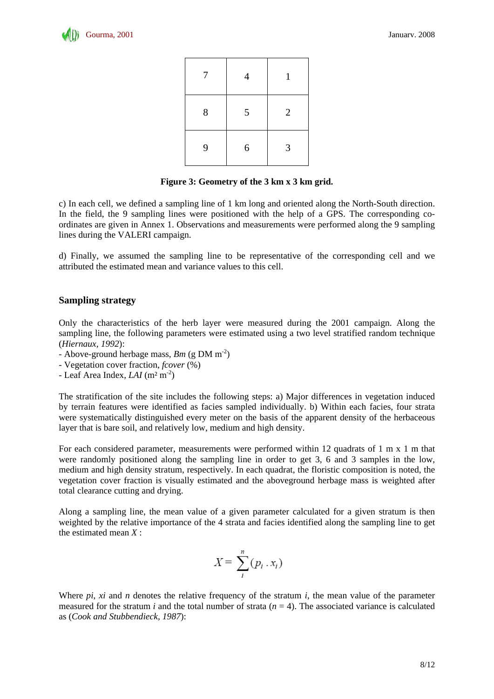

| 7     | $\overline{4}$ | 1              |
|-------|----------------|----------------|
| $8\,$ | 5              | $\overline{2}$ |
| 9     | 6              | 3              |

#### **Figure 3: Geometry of the 3 km x 3 km grid.**

c) In each cell, we defined a sampling line of 1 km long and oriented along the North-South direction. In the field, the 9 sampling lines were positioned with the help of a GPS. The corresponding coordinates are given in Annex 1. Observations and measurements were performed along the 9 sampling lines during the VALERI campaign.

d) Finally, we assumed the sampling line to be representative of the corresponding cell and we attributed the estimated mean and variance values to this cell.

#### **Sampling strategy**

Only the characteristics of the herb layer were measured during the 2001 campaign. Along the sampling line, the following parameters were estimated using a two level stratified random technique (*Hiernaux, 1992*):

- Above-ground herbage mass, *Bm* (g DM m-2)
- Vegetation cover fraction, *fcover* (%)
- Leaf Area Index, *LAI* (m² m-2)

The stratification of the site includes the following steps: a) Major differences in vegetation induced by terrain features were identified as facies sampled individually. b) Within each facies, four strata were systematically distinguished every meter on the basis of the apparent density of the herbaceous layer that is bare soil, and relatively low, medium and high density.

For each considered parameter, measurements were performed within 12 quadrats of 1 m x 1 m that were randomly positioned along the sampling line in order to get 3, 6 and 3 samples in the low, medium and high density stratum, respectively. In each quadrat, the floristic composition is noted, the vegetation cover fraction is visually estimated and the aboveground herbage mass is weighted after total clearance cutting and drying.

Along a sampling line, the mean value of a given parameter calculated for a given stratum is then weighted by the relative importance of the 4 strata and facies identified along the sampling line to get the estimated mean *X* :

$$
X = \sum_{i}^{n} (p_i \cdot x_i)
$$

Where *pi*, *xi* and *n* denotes the relative frequency of the stratum *i*, the mean value of the parameter measured for the stratum *i* and the total number of strata  $(n = 4)$ . The associated variance is calculated as (*Cook and Stubbendieck, 1987*):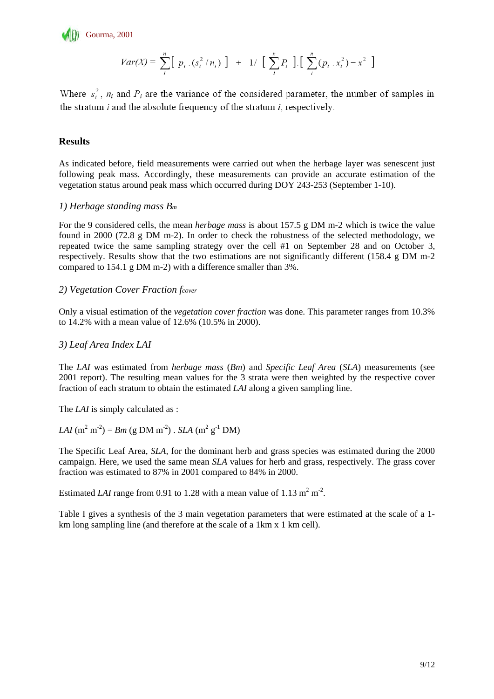

$$
Var(X) = \sum_{i}^{n} [p_i \cdot (s_i^2 / n_i)] + 1 / [\sum_{i}^{n} P_i] [\sum_{i}^{n} (p_i \cdot x_i^2) - x^2]
$$

Where  $s_i^2$ ,  $n_i$  and  $P_i$  are the variance of the considered parameter, the number of samples in the stratum  $i$  and the absolute frequency of the stratum  $i$ , respectively.

### **Results**

As indicated before, field measurements were carried out when the herbage layer was senescent just following peak mass. Accordingly, these measurements can provide an accurate estimation of the vegetation status around peak mass which occurred during DOY 243-253 (September 1-10).

#### *1) Herbage standing mass Bm*

For the 9 considered cells, the mean *herbage mass* is about 157.5 g DM m-2 which is twice the value found in 2000 (72.8 g DM m-2). In order to check the robustness of the selected methodology, we repeated twice the same sampling strategy over the cell #1 on September 28 and on October 3, respectively. Results show that the two estimations are not significantly different (158.4 g DM m-2 compared to 154.1 g DM m-2) with a difference smaller than 3%.

#### *2) Vegetation Cover Fraction fcover*

Only a visual estimation of the *vegetation cover fraction* was done. This parameter ranges from 10.3% to 14.2% with a mean value of 12.6% (10.5% in 2000).

#### *3) Leaf Area Index LAI*

The *LAI* was estimated from *herbage mass* (*Bm*) and *Specific Leaf Area* (*SLA*) measurements (see 2001 report). The resulting mean values for the 3 strata were then weighted by the respective cover fraction of each stratum to obtain the estimated *LAI* along a given sampling line.

The *LAI* is simply calculated as :

*LAI*  $(m^2 m^2) = Bm$  (g DM  $m^2$ ) . *SLA*  $(m^2 g^{\text{-1}} DM)$ 

The Specific Leaf Area, *SLA,* for the dominant herb and grass species was estimated during the 2000 campaign. Here, we used the same mean *SLA* values for herb and grass, respectively. The grass cover fraction was estimated to 87% in 2001 compared to 84% in 2000.

Estimated *LAI* range from 0.91 to 1.28 with a mean value of  $1.13 \text{ m}^2 \text{ m}^2$ .

Table I gives a synthesis of the 3 main vegetation parameters that were estimated at the scale of a 1 km long sampling line (and therefore at the scale of a 1km x 1 km cell).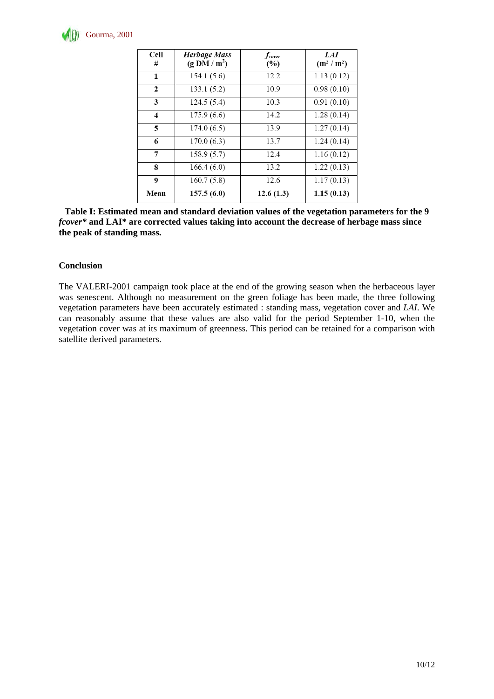

| Cell<br>#               | <b>Herbage Mass</b><br>$(g \text{ DM}/\text{m}^2)$ | $f_{cover}$<br>(%) | LAI<br>$(m^2/m^2)$ |
|-------------------------|----------------------------------------------------|--------------------|--------------------|
| 1                       | 154.1(5.6)                                         | 12.2               | 1.13(0.12)         |
| $\overline{2}$          | 133.1(5.2)                                         | 10.9               | 0.98(0.10)         |
| 3                       | 124.5(5.4)                                         | 10.3               | 0.91(0.10)         |
| $\overline{\mathbf{4}}$ | 175.9(6.6)                                         | 14.2               | 1.28(0.14)         |
| 5                       | 174.0(6.5)                                         | 13.9               | 1.27(0.14)         |
| 6                       | 170.0(6.3)                                         | 13.7               | 1.24(0.14)         |
| 7                       | 158.9(5.7)                                         | 12.4               | 1.16(0.12)         |
| 8                       | 166.4(6.0)                                         | 13.2               | 1.22(0.13)         |
| 9                       | 160.7(5.8)                                         | 12.6               | 1.17(0.13)         |
| Mean                    | 157.5(6.0)                                         | 12.6(1.3)          | 1.15(0.13)         |

**Table I: Estimated mean and standard deviation values of the vegetation parameters for the 9**  *fcover\** **and LAI\* are corrected values taking into account the decrease of herbage mass since the peak of standing mass.** 

#### **Conclusion**

The VALERI-2001 campaign took place at the end of the growing season when the herbaceous layer was senescent. Although no measurement on the green foliage has been made, the three following vegetation parameters have been accurately estimated : standing mass, vegetation cover and *LAI*. We can reasonably assume that these values are also valid for the period September 1-10, when the vegetation cover was at its maximum of greenness. This period can be retained for a comparison with satellite derived parameters.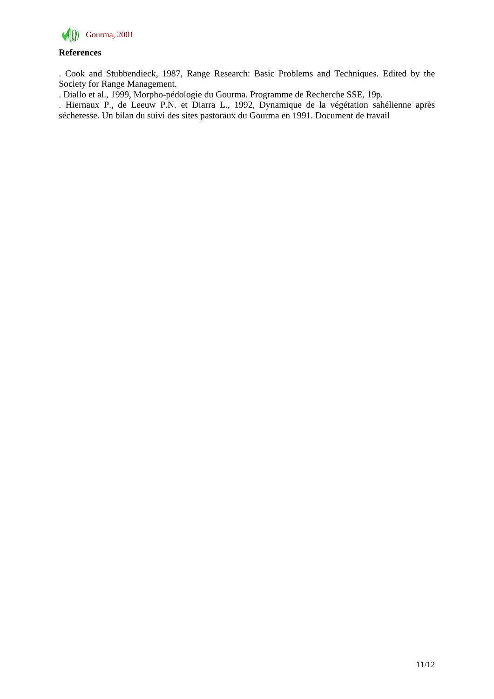

### **References**

. Cook and Stubbendieck, 1987, Range Research: Basic Problems and Techniques. Edited by the Society for Range Management.

. Diallo et al., 1999, Morpho-pédologie du Gourma. Programme de Recherche SSE, 19p.

. Hiernaux P., de Leeuw P.N. et Diarra L., 1992, Dynamique de la végétation sahélienne après sécheresse. Un bilan du suivi des sites pastoraux du Gourma en 1991. Document de travail